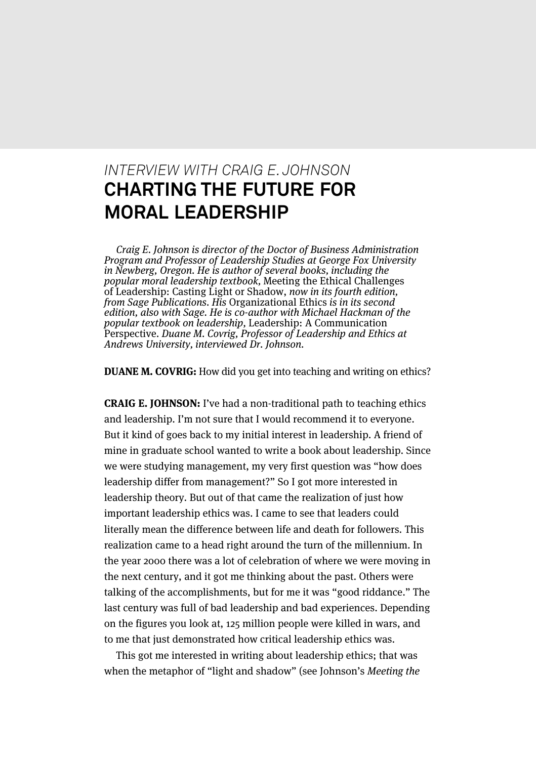## *INTERVIEW WITH CRAIG E. JOHNSON* **CHARTING THE FUTURE FOR MORAL LEADERSHIP**

Craig E. Johnson is director of the Doctor of Business Administration Program and Professor of Leadership Studies at George Fox University in Newberg, Oregon. He is author of several books, including the popular moral leadership textbook, Meeting the Ethical Challenges of Leadership: Casting Light or Shadow, now in its fourth edition, from Sage Publications. His Organizational Ethics is in its second edition, also with Sage. He is co-author with Michael Hackman of the popular textbook on leadership, Leadership: A Communication Perspective. Duane M. Covrig, Professor of Leadership and Ethics at Andrews University, interviewed Dr. Johnson.

**DUANE M. COVRIG:** How did you get into teaching and writing on ethics?

**CRAIG E. JOHNSON:** I've had a non-traditional path to teaching ethics and leadership. I'm not sure that I would recommend it to everyone. But it kind of goes back to my initial interest in leadership. A friend of mine in graduate school wanted to write a book about leadership. Since we were studying management, my very first question was "how does leadership differ from management?" So I got more interested in leadership theory. But out of that came the realization of just how important leadership ethics was. I came to see that leaders could literally mean the difference between life and death for followers. This realization came to a head right around the turn of the millennium. In the year 2000 there was a lot of celebration of where we were moving in the next century, and it got me thinking about the past. Others were talking of the accomplishments, but for me it was "good riddance." The last century was full of bad leadership and bad experiences. Depending on the figures you look at, 125 million people were killed in wars, and to me that just demonstrated how critical leadership ethics was.

This got me interested in writing about leadership ethics; that was when the metaphor of "light and shadow" (see Johnson's Meeting the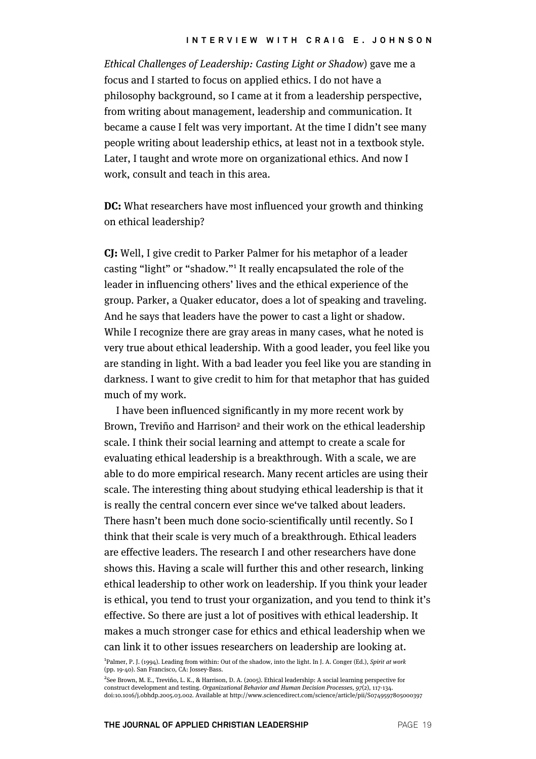Ethical Challenges of Leadership: Casting Light or Shadow) gave me a focus and I started to focus on applied ethics. I do not have a philosophy background, so I came at it from a leadership perspective, from writing about management, leadership and communication. It became a cause I felt was very important. At the time I didn't see many people writing about leadership ethics, at least not in a textbook style. Later, I taught and wrote more on organizational ethics. And now I work, consult and teach in this area.

**DC:** What researchers have most influenced your growth and thinking on ethical leadership?

**CJ:** Well, I give credit to Parker Palmer for his metaphor of a leader casting "light" or "shadow."<sup>1</sup> It really encapsulated the role of the leader in influencing others' lives and the ethical experience of the group. Parker, a Quaker educator, does a lot of speaking and traveling. And he says that leaders have the power to cast a light or shadow. While I recognize there are gray areas in many cases, what he noted is very true about ethical leadership. With a good leader, you feel like you are standing in light. With a bad leader you feel like you are standing in darkness. I want to give credit to him for that metaphor that has guided much of my work.

I have been influenced significantly in my more recent work by Brown, Treviño and Harrison<sup>2</sup> and their work on the ethical leadership scale. I think their social learning and attempt to create a scale for evaluating ethical leadership is a breakthrough. With a scale, we are able to do more empirical research. Many recent articles are using their scale. The interesting thing about studying ethical leadership is that it is really the central concern ever since we've talked about leaders. There hasn't been much done socio-scientifically until recently. So I think that their scale is very much of a breakthrough. Ethical leaders are effective leaders. The research I and other researchers have done shows this. Having a scale will further this and other research, linking ethical leadership to other work on leadership. If you think your leader is ethical, you tend to trust your organization, and you tend to think it's effective. So there are just a lot of positives with ethical leadership. It makes a much stronger case for ethics and ethical leadership when we can link it to other issues researchers on leadership are looking at.

<sup>1</sup>Palmer, P. J. (1994). Leading from within: Out of the shadow, into the light. In J. A. Conger (Ed.), Spirit at work (pp. 19-40). San Francisco, CA: Jossey-Bass.

<sup>2</sup>See Brown, M. E., Treviño, L. K., & Harrison, D. A. (2005). Ethical leadership: A social learning perspective for construct development and testing. Organizational Behavior and Human Decision Processes, 97(2), 117-134. doi:10.1016/j.obhdp.2005.03.002. Available at http://www.sciencedirect.com/science/article/pii/S0749597805000397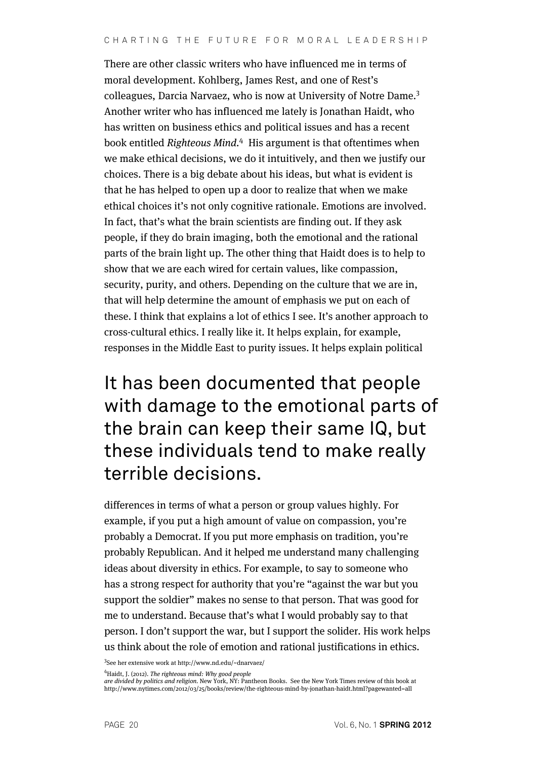There are other classic writers who have influenced me in terms of moral development. Kohlberg, James Rest, and one of Rest's colleagues, Darcia Narvaez, who is now at University of Notre Dame.<sup>3</sup> Another writer who has influenced me lately is Jonathan Haidt, who has written on business ethics and political issues and has a recent book entitled Righteous Mind.<sup>4</sup> His argument is that oftentimes when we make ethical decisions, we do it intuitively, and then we justify our choices. There is a big debate about his ideas, but what is evident is that he has helped to open up a door to realize that when we make ethical choices it's not only cognitive rationale. Emotions are involved. In fact, that's what the brain scientists are finding out. If they ask people, if they do brain imaging, both the emotional and the rational parts of the brain light up. The other thing that Haidt does is to help to show that we are each wired for certain values, like compassion, security, purity, and others. Depending on the culture that we are in, that will help determine the amount of emphasis we put on each of these. I think that explains a lot of ethics I see. It's another approach to cross-cultural ethics. I really like it. It helps explain, for example, responses in the Middle East to purity issues. It helps explain political

## It has been documented that people with damage to the emotional parts of the brain can keep their same IQ, but these individuals tend to make really terrible decisions.

differences in terms of what a person or group values highly. For example, if you put a high amount of value on compassion, you're probably a Democrat. If you put more emphasis on tradition, you're probably Republican. And it helped me understand many challenging ideas about diversity in ethics. For example, to say to someone who has a strong respect for authority that you're "against the war but you support the soldier" makes no sense to that person. That was good for me to understand. Because that's what I would probably say to that person. I don't support the war, but I support the solider. His work helps us think about the role of emotion and rational justifications in ethics.

3 See her extensive work at http://www.nd.edu/~dnarvaez/

<sup>4</sup>Haidt, J. (2012). The righteous mind: Why good people

are divided by politics and religion. New York, NY: Pantheon Books. See the New York Times review of this book at http://www.nytimes.com/2012/03/25/books/review/the-righteous-mind-by-jonathan-haidt.html?pagewanted=all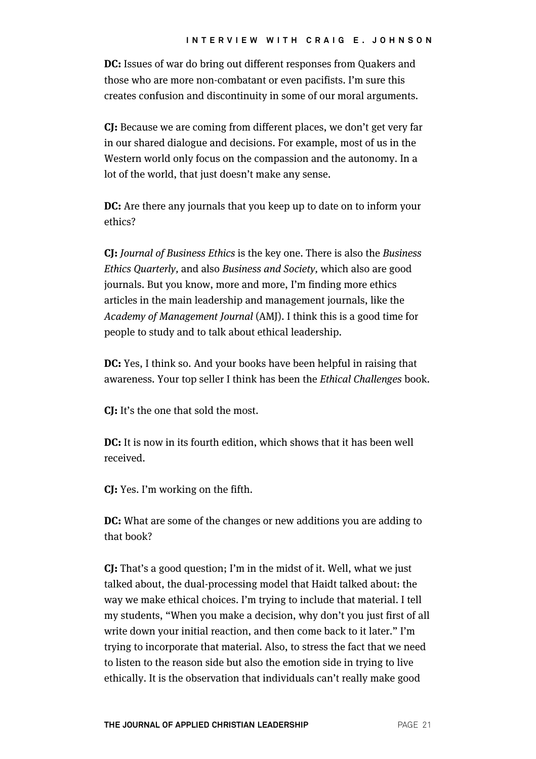**DC:** Issues of war do bring out different responses from Quakers and those who are more non-combatant or even pacifists. I'm sure this creates confusion and discontinuity in some of our moral arguments.

**CJ:** Because we are coming from different places, we don't get very far in our shared dialogue and decisions. For example, most of us in the Western world only focus on the compassion and the autonomy. In a lot of the world, that just doesn't make any sense.

**DC:** Are there any journals that you keep up to date on to inform your ethics?

**CJ:** Journal of Business Ethics is the key one. There is also the Business Ethics Quarterly, and also Business and Society, which also are good journals. But you know, more and more, I'm finding more ethics articles in the main leadership and management journals, like the Academy of Management Journal (AMJ). I think this is a good time for people to study and to talk about ethical leadership.

**DC:** Yes, I think so. And your books have been helpful in raising that awareness. Your top seller I think has been the Ethical Challenges book.

**CJ:** It's the one that sold the most.

**DC:** It is now in its fourth edition, which shows that it has been well received.

**CJ:** Yes. I'm working on the fifth.

**DC:** What are some of the changes or new additions you are adding to that book?

**CJ:** That's a good question; I'm in the midst of it. Well, what we just talked about, the dual-processing model that Haidt talked about: the way we make ethical choices. I'm trying to include that material. I tell my students, "When you make a decision, why don't you just first of all write down your initial reaction, and then come back to it later." I'm trying to incorporate that material. Also, to stress the fact that we need to listen to the reason side but also the emotion side in trying to live ethically. It is the observation that individuals can't really make good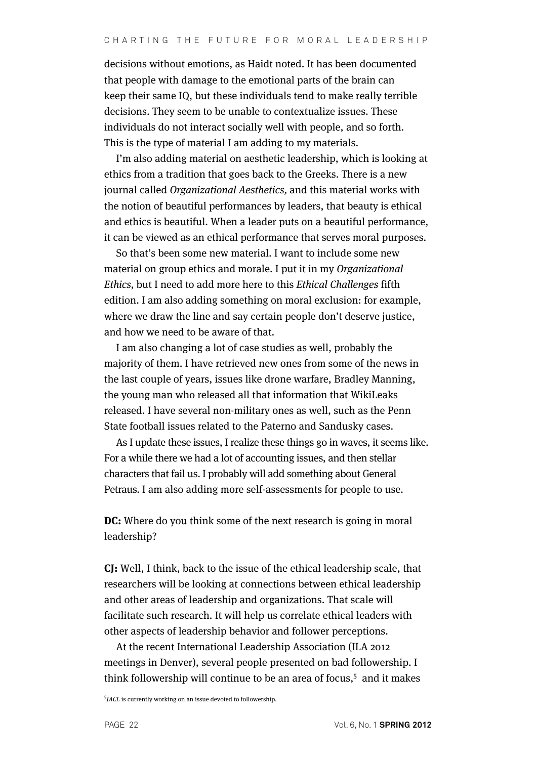decisions without emotions, as Haidt noted. It has been documented that people with damage to the emotional parts of the brain can keep their same IQ, but these individuals tend to make really terrible decisions. They seem to be unable to contextualize issues. These individuals do not interact socially well with people, and so forth. This is the type of material I am adding to my materials.

I'm also adding material on aesthetic leadership, which is looking at ethics from a tradition that goes back to the Greeks. There is a new journal called Organizational Aesthetics, and this material works with the notion of beautiful performances by leaders, that beauty is ethical and ethics is beautiful. When a leader puts on a beautiful performance, it can be viewed as an ethical performance that serves moral purposes.

So that's been some new material. I want to include some new material on group ethics and morale. I put it in my Organizational Ethics, but I need to add more here to this Ethical Challenges fifth edition. I am also adding something on moral exclusion: for example, where we draw the line and say certain people don't deserve justice, and how we need to be aware of that.

I am also changing a lot of case studies as well, probably the majority of them. I have retrieved new ones from some of the news in the last couple of years, issues like drone warfare, Bradley Manning, the young man who released all that information that WikiLeaks released. I have several non-military ones as well, such as the Penn State football issues related to the Paterno and Sandusky cases.

As I update these issues, I realize these things go in waves, it seems like. For a while there we had a lot of accounting issues, and then stellar characters that fail us. I probably will add something about General Petraus. I am also adding more self-assessments for people to use.

**DC:** Where do you think some of the next research is going in moral leadership?

**CJ:** Well, I think, back to the issue of the ethical leadership scale, that researchers will be looking at connections between ethical leadership and other areas of leadership and organizations. That scale will facilitate such research. It will help us correlate ethical leaders with other aspects of leadership behavior and follower perceptions.

At the recent International Leadership Association (ILA 2012 meetings in Denver), several people presented on bad followership. I think followership will continue to be an area of focus, <sup>5</sup> and it makes

<sup>5</sup>JACL is currently working on an issue devoted to followership.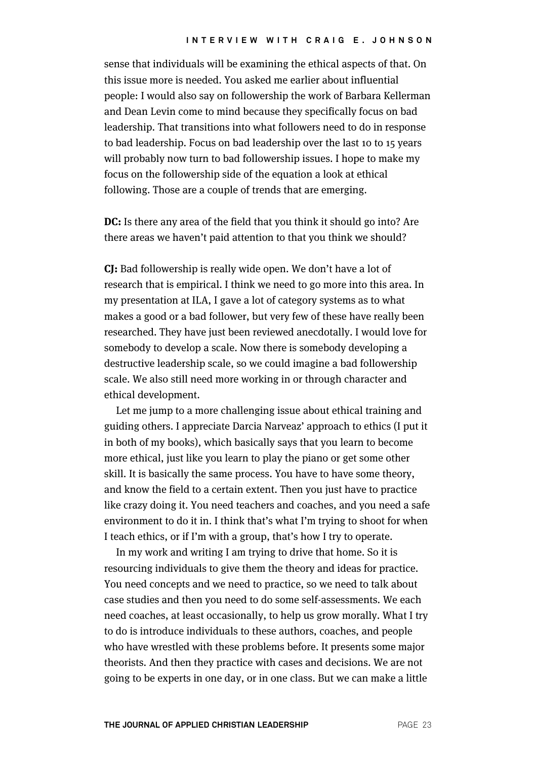sense that individuals will be examining the ethical aspects of that. On this issue more is needed. You asked me earlier about influential people: I would also say on followership the work of Barbara Kellerman and Dean Levin come to mind because they specifically focus on bad leadership. That transitions into what followers need to do in response to bad leadership. Focus on bad leadership over the last 10 to 15 years will probably now turn to bad followership issues. I hope to make my focus on the followership side of the equation a look at ethical following. Those are a couple of trends that are emerging.

**DC:** Is there any area of the field that you think it should go into? Are there areas we haven't paid attention to that you think we should?

**CJ:** Bad followership is really wide open. We don't have a lot of research that is empirical. I think we need to go more into this area. In my presentation at ILA, I gave a lot of category systems as to what makes a good or a bad follower, but very few of these have really been researched. They have just been reviewed anecdotally. I would love for somebody to develop a scale. Now there is somebody developing a destructive leadership scale, so we could imagine a bad followership scale. We also still need more working in or through character and ethical development.

Let me jump to a more challenging issue about ethical training and guiding others. I appreciate Darcia Narveaz' approach to ethics (I put it in both of my books), which basically says that you learn to become more ethical, just like you learn to play the piano or get some other skill. It is basically the same process. You have to have some theory, and know the field to a certain extent. Then you just have to practice like crazy doing it. You need teachers and coaches, and you need a safe environment to do it in. I think that's what I'm trying to shoot for when I teach ethics, or if I'm with a group, that's how I try to operate.

In my work and writing I am trying to drive that home. So it is resourcing individuals to give them the theory and ideas for practice. You need concepts and we need to practice, so we need to talk about case studies and then you need to do some self-assessments. We each need coaches, at least occasionally, to help us grow morally. What I try to do is introduce individuals to these authors, coaches, and people who have wrestled with these problems before. It presents some major theorists. And then they practice with cases and decisions. We are not going to be experts in one day, or in one class. But we can make a little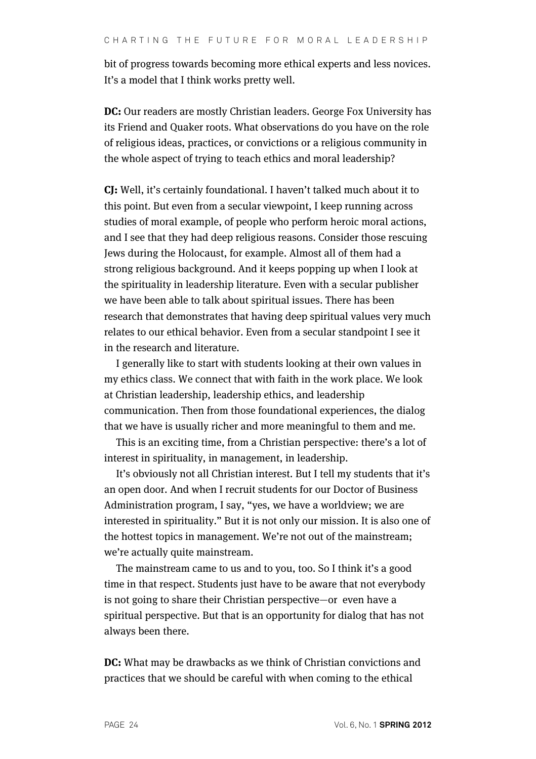bit of progress towards becoming more ethical experts and less novices. It's a model that I think works pretty well.

**DC:** Our readers are mostly Christian leaders. George Fox University has its Friend and Quaker roots. What observations do you have on the role of religious ideas, practices, or convictions or a religious community in the whole aspect of trying to teach ethics and moral leadership?

**CJ:** Well, it's certainly foundational. I haven't talked much about it to this point. But even from a secular viewpoint, I keep running across studies of moral example, of people who perform heroic moral actions, and I see that they had deep religious reasons. Consider those rescuing Jews during the Holocaust, for example. Almost all of them had a strong religious background. And it keeps popping up when I look at the spirituality in leadership literature. Even with a secular publisher we have been able to talk about spiritual issues. There has been research that demonstrates that having deep spiritual values very much relates to our ethical behavior. Even from a secular standpoint I see it in the research and literature.

I generally like to start with students looking at their own values in my ethics class. We connect that with faith in the work place. We look at Christian leadership, leadership ethics, and leadership communication. Then from those foundational experiences, the dialog that we have is usually richer and more meaningful to them and me.

This is an exciting time, from a Christian perspective: there's a lot of interest in spirituality, in management, in leadership.

It's obviously not all Christian interest. But I tell my students that it's an open door. And when I recruit students for our Doctor of Business Administration program, I say, "yes, we have a worldview; we are interested in spirituality." But it is not only our mission. It is also one of the hottest topics in management. We're not out of the mainstream; we're actually quite mainstream.

The mainstream came to us and to you, too. So I think it's a good time in that respect. Students just have to be aware that not everybody is not going to share their Christian perspective—or even have a spiritual perspective. But that is an opportunity for dialog that has not always been there.

**DC:** What may be drawbacks as we think of Christian convictions and practices that we should be careful with when coming to the ethical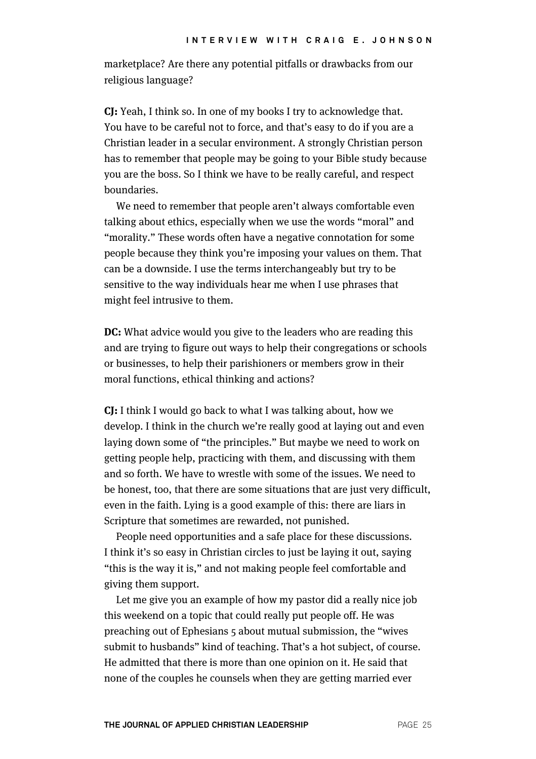marketplace? Are there any potential pitfalls or drawbacks from our religious language?

**CJ:** Yeah, I think so. In one of my books I try to acknowledge that. You have to be careful not to force, and that's easy to do if you are a Christian leader in a secular environment. A strongly Christian person has to remember that people may be going to your Bible study because you are the boss. So I think we have to be really careful, and respect boundaries.

We need to remember that people aren't always comfortable even talking about ethics, especially when we use the words "moral" and "morality." These words often have a negative connotation for some people because they think you're imposing your values on them. That can be a downside. I use the terms interchangeably but try to be sensitive to the way individuals hear me when I use phrases that might feel intrusive to them.

**DC:** What advice would you give to the leaders who are reading this and are trying to figure out ways to help their congregations or schools or businesses, to help their parishioners or members grow in their moral functions, ethical thinking and actions?

**CJ:** I think I would go back to what I was talking about, how we develop. I think in the church we're really good at laying out and even laying down some of "the principles." But maybe we need to work on getting people help, practicing with them, and discussing with them and so forth. We have to wrestle with some of the issues. We need to be honest, too, that there are some situations that are just very difficult, even in the faith. Lying is a good example of this: there are liars in Scripture that sometimes are rewarded, not punished.

People need opportunities and a safe place for these discussions. I think it's so easy in Christian circles to just be laying it out, saying "this is the way it is," and not making people feel comfortable and giving them support.

Let me give you an example of how my pastor did a really nice job this weekend on a topic that could really put people off. He was preaching out of Ephesians 5 about mutual submission, the "wives submit to husbands" kind of teaching. That's a hot subject, of course. He admitted that there is more than one opinion on it. He said that none of the couples he counsels when they are getting married ever